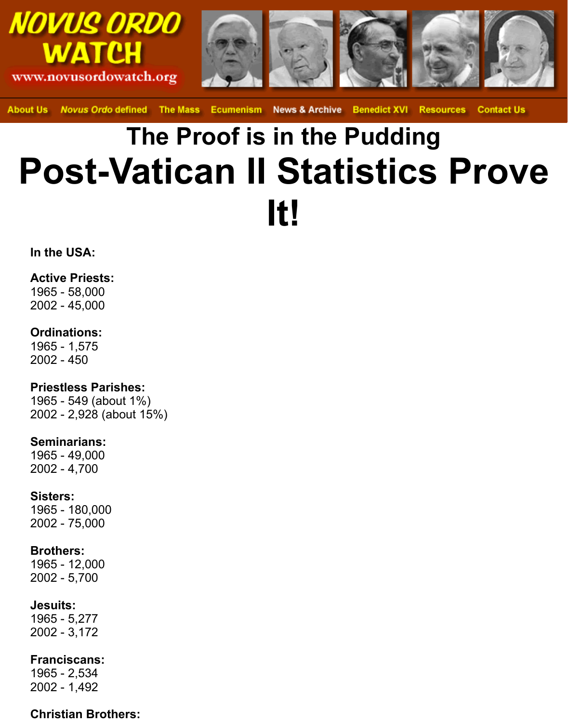

**About Us** Novus Ordo defined The Mass Ecumenism News & Archive Benedict XVI Resources Contact Us

# **The Proof is in the Pudding Post-Vatican II Statistics Prove It!**

**In the USA:**

#### **Active Priests:**

1965 - 58,000 2002 - 45,000

#### **Ordinations:**

1965 - 1,575 2002 - 450

# **Priestless Parishes:**

1965 - 549 (about 1%) 2002 - 2,928 (about 15%)

#### **Seminarians:**

1965 - 49,000 2002 - 4,700

#### **Sisters:**

1965 - 180,000 2002 - 75,000

# **Brothers:**

1965 - 12,000 2002 - 5,700

# **Jesuits:**

1965 - 5,277 2002 - 3,172

# **Franciscans:**

1965 - 2,534 2002 - 1,492

# **Christian Brothers:**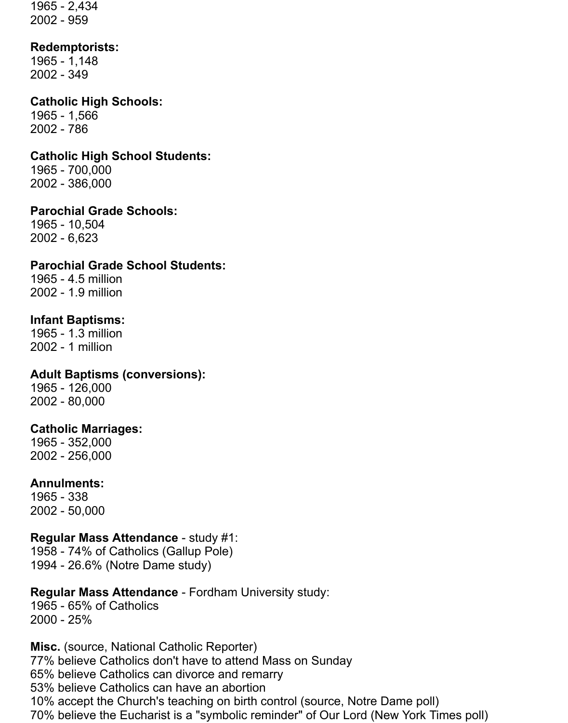1965 - 2,434 2002 - 959

#### **Redemptorists:**

1965 - 1,148 2002 - 349

# **Catholic High Schools:**

1965 - 1,566 2002 - 786

# **Catholic High School Students:**

1965 - 700,000 2002 - 386,000

#### **Parochial Grade Schools:**

1965 - 10,504 2002 - 6,623

# **Parochial Grade School Students:**

1965 - 4.5 million 2002 - 1.9 million

# **Infant Baptisms:**

1965 - 1.3 million 2002 - 1 million

# **Adult Baptisms (conversions):**

1965 - 126,000 2002 - 80,000

# **Catholic Marriages:**

1965 - 352,000 2002 - 256,000

# **Annulments:**

1965 - 338 2002 - 50,000

# **Regular Mass Attendance** - study #1:

1958 - 74% of Catholics (Gallup Pole) 1994 - 26.6% (Notre Dame study)

# **Regular Mass Attendance** - Fordham University study:

1965 - 65% of Catholics 2000 - 25%

**Misc.** (source, National Catholic Reporter) 77% believe Catholics don't have to attend Mass on Sunday 65% believe Catholics can divorce and remarry 53% believe Catholics can have an abortion 10% accept the Church's teaching on birth control (source, Notre Dame poll) 70% believe the Eucharist is a "symbolic reminder" of Our Lord (New York Times poll)